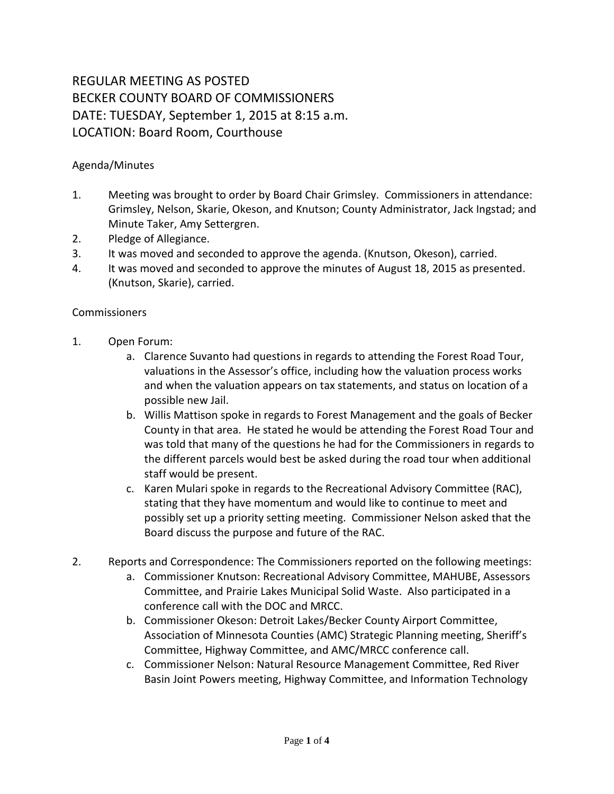## REGULAR MEETING AS POSTED BECKER COUNTY BOARD OF COMMISSIONERS DATE: TUESDAY, September 1, 2015 at 8:15 a.m. LOCATION: Board Room, Courthouse

## Agenda/Minutes

- 1. Meeting was brought to order by Board Chair Grimsley. Commissioners in attendance: Grimsley, Nelson, Skarie, Okeson, and Knutson; County Administrator, Jack Ingstad; and Minute Taker, Amy Settergren.
- 2. Pledge of Allegiance.
- 3. It was moved and seconded to approve the agenda. (Knutson, Okeson), carried.
- 4. It was moved and seconded to approve the minutes of August 18, 2015 as presented. (Knutson, Skarie), carried.

## **Commissioners**

- 1. Open Forum:
	- a. Clarence Suvanto had questions in regards to attending the Forest Road Tour, valuations in the Assessor's office, including how the valuation process works and when the valuation appears on tax statements, and status on location of a possible new Jail.
	- b. Willis Mattison spoke in regards to Forest Management and the goals of Becker County in that area. He stated he would be attending the Forest Road Tour and was told that many of the questions he had for the Commissioners in regards to the different parcels would best be asked during the road tour when additional staff would be present.
	- c. Karen Mulari spoke in regards to the Recreational Advisory Committee (RAC), stating that they have momentum and would like to continue to meet and possibly set up a priority setting meeting. Commissioner Nelson asked that the Board discuss the purpose and future of the RAC.
- 2. Reports and Correspondence: The Commissioners reported on the following meetings:
	- a. Commissioner Knutson: Recreational Advisory Committee, MAHUBE, Assessors Committee, and Prairie Lakes Municipal Solid Waste. Also participated in a conference call with the DOC and MRCC.
	- b. Commissioner Okeson: Detroit Lakes/Becker County Airport Committee, Association of Minnesota Counties (AMC) Strategic Planning meeting, Sheriff's Committee, Highway Committee, and AMC/MRCC conference call.
	- c. Commissioner Nelson: Natural Resource Management Committee, Red River Basin Joint Powers meeting, Highway Committee, and Information Technology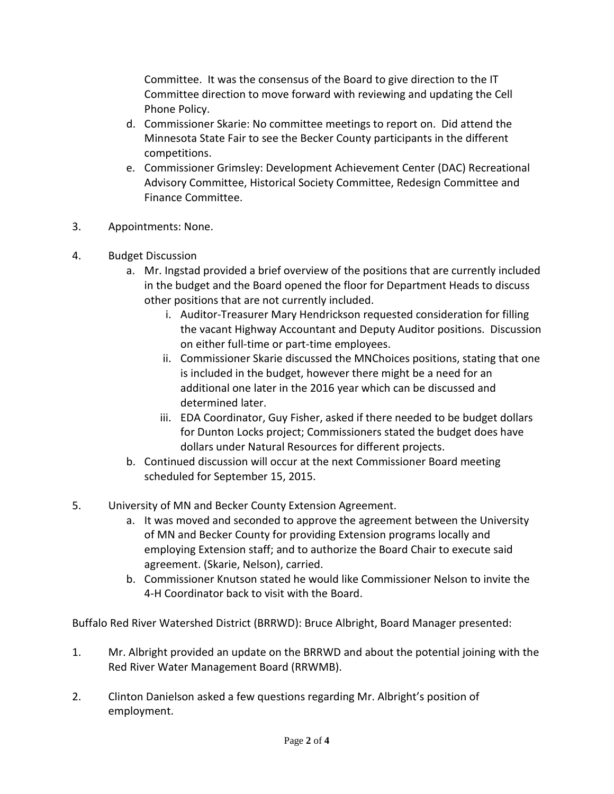Committee. It was the consensus of the Board to give direction to the IT Committee direction to move forward with reviewing and updating the Cell Phone Policy.

- d. Commissioner Skarie: No committee meetings to report on. Did attend the Minnesota State Fair to see the Becker County participants in the different competitions.
- e. Commissioner Grimsley: Development Achievement Center (DAC) Recreational Advisory Committee, Historical Society Committee, Redesign Committee and Finance Committee.
- 3. Appointments: None.
- 4. Budget Discussion
	- a. Mr. Ingstad provided a brief overview of the positions that are currently included in the budget and the Board opened the floor for Department Heads to discuss other positions that are not currently included.
		- i. Auditor-Treasurer Mary Hendrickson requested consideration for filling the vacant Highway Accountant and Deputy Auditor positions. Discussion on either full-time or part-time employees.
		- ii. Commissioner Skarie discussed the MNChoices positions, stating that one is included in the budget, however there might be a need for an additional one later in the 2016 year which can be discussed and determined later.
		- iii. EDA Coordinator, Guy Fisher, asked if there needed to be budget dollars for Dunton Locks project; Commissioners stated the budget does have dollars under Natural Resources for different projects.
	- b. Continued discussion will occur at the next Commissioner Board meeting scheduled for September 15, 2015.
- 5. University of MN and Becker County Extension Agreement.
	- a. It was moved and seconded to approve the agreement between the University of MN and Becker County for providing Extension programs locally and employing Extension staff; and to authorize the Board Chair to execute said agreement. (Skarie, Nelson), carried.
	- b. Commissioner Knutson stated he would like Commissioner Nelson to invite the 4-H Coordinator back to visit with the Board.

Buffalo Red River Watershed District (BRRWD): Bruce Albright, Board Manager presented:

- 1. Mr. Albright provided an update on the BRRWD and about the potential joining with the Red River Water Management Board (RRWMB).
- 2. Clinton Danielson asked a few questions regarding Mr. Albright's position of employment.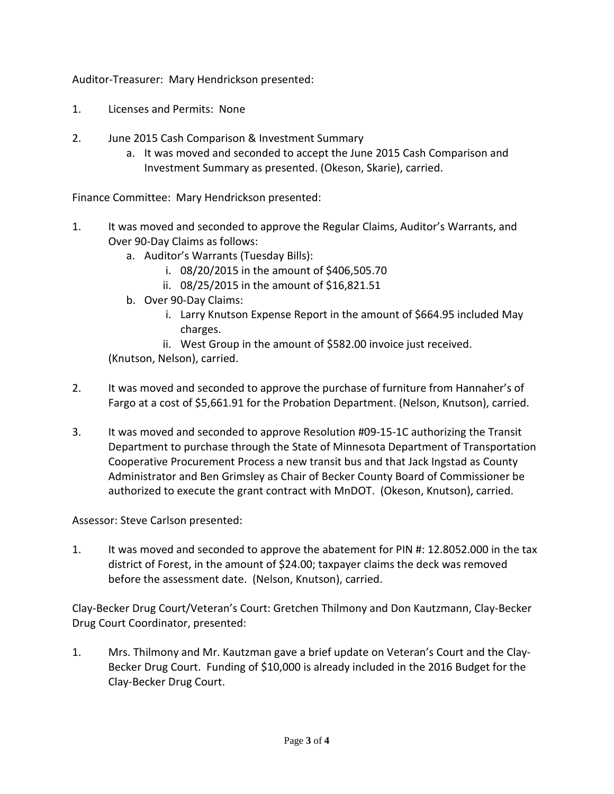Auditor-Treasurer: Mary Hendrickson presented:

- 1. Licenses and Permits: None
- 2. June 2015 Cash Comparison & Investment Summary
	- a. It was moved and seconded to accept the June 2015 Cash Comparison and Investment Summary as presented. (Okeson, Skarie), carried.

Finance Committee: Mary Hendrickson presented:

- 1. It was moved and seconded to approve the Regular Claims, Auditor's Warrants, and Over 90-Day Claims as follows:
	- a. Auditor's Warrants (Tuesday Bills):
		- i. 08/20/2015 in the amount of \$406,505.70
		- ii. 08/25/2015 in the amount of \$16,821.51
	- b. Over 90-Day Claims:
		- i. Larry Knutson Expense Report in the amount of \$664.95 included May charges.
	- ii. West Group in the amount of \$582.00 invoice just received. (Knutson, Nelson), carried.
- 2. It was moved and seconded to approve the purchase of furniture from Hannaher's of Fargo at a cost of \$5,661.91 for the Probation Department. (Nelson, Knutson), carried.
- 3. It was moved and seconded to approve Resolution #09-15-1C authorizing the Transit Department to purchase through the State of Minnesota Department of Transportation Cooperative Procurement Process a new transit bus and that Jack Ingstad as County Administrator and Ben Grimsley as Chair of Becker County Board of Commissioner be authorized to execute the grant contract with MnDOT. (Okeson, Knutson), carried.

## Assessor: Steve Carlson presented:

1. It was moved and seconded to approve the abatement for PIN #: 12.8052.000 in the tax district of Forest, in the amount of \$24.00; taxpayer claims the deck was removed before the assessment date. (Nelson, Knutson), carried.

Clay-Becker Drug Court/Veteran's Court: Gretchen Thilmony and Don Kautzmann, Clay-Becker Drug Court Coordinator, presented:

1. Mrs. Thilmony and Mr. Kautzman gave a brief update on Veteran's Court and the Clay-Becker Drug Court. Funding of \$10,000 is already included in the 2016 Budget for the Clay-Becker Drug Court.